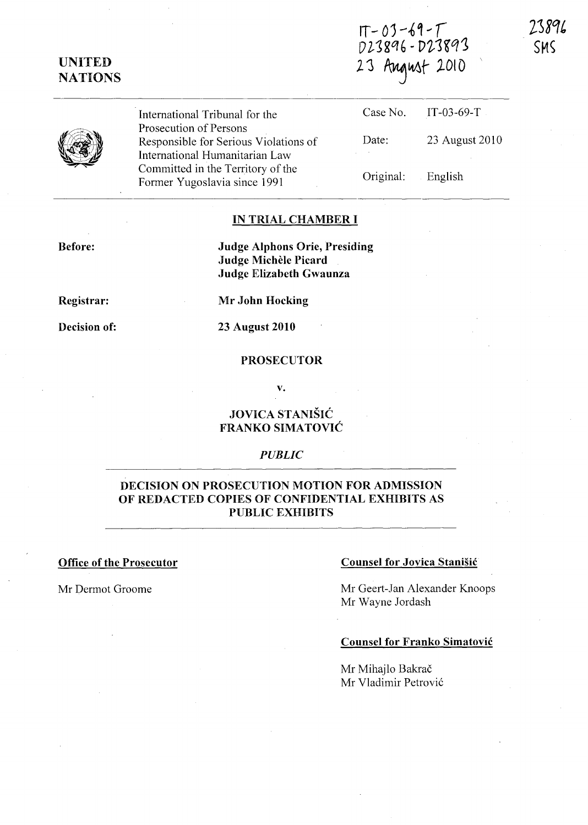# UNITED **NATIONS**

 $1T - 03 - 69 - T$ <br>D23896 - D23893 23 August 2010

IT-03-69-T

English

23 August 2010

Case No.

Original:

Date:

73896 SMS

International Tribunal for the Prosecution of Persons Responsible for Serious Violations of International Humanitarian Law Committed in the Territory of the Former Yugoslavia since 1991

# IN TRIAL CHAMBER I

Before:

Judge Alphons Orie, Presiding Judge Michele Picard Judge Elizabeth Gwaunza

Registrar:

Decision of:

23 August 2010

Mr John Hocking

### PROSECUTOR

v.

## **JOVICA STANIŠIĆ** FRANKO SIMATOVIC

#### *PUBLIC*

## DECISION ON PROSECUTION MOTION FOR ADMISSION OF REDACTED COPIES OF CONFIDENTIAL EXHIBITS AS PUBLIC EXHIBITS

### Office of the Prosecutor Counsel for Jovica Stanisic

Mr Dermot Groome Mr Geert-Jan Alexander Knoops Mr Wayne Jordash

### Counsel for Franko Simatovic

Mr Mihailo Bakrač Mr Vladimir Petrović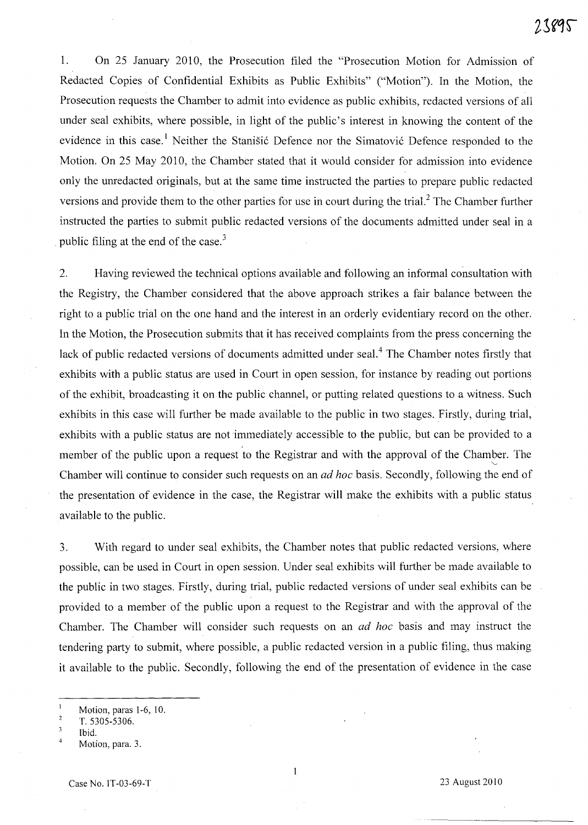1. On 25 January 2010, the Prosecution filed the "Prosecution Motion for Admission of Redacted Copies of Confidential Exhibits as Public Exhibits" ("Motion"). In the Motion, the Prosecution requests the Chamber to admit into evidence as public exhibits, redacted versions of all under seal exhibits, where possible, in light of the public's interest in knowing the content of the evidence in this case.<sup>1</sup> Neither the Stanišić Defence nor the Simatović Defence responded to the Motion. On 25 May 2010, the Chamber stated that it would consider for admission into evidence only the unredacted originals, but at the same time instructed the parties to prepare public redacted versions and provide them to the other parties for use in court during the trial? The Chamber further instructed the parties to submit public redacted versions of the documents admitted under seal in a public filing at the end of the case.<sup>3</sup>

2. Having reviewed the technical options available and following an informal consultation with the Registry, the Chamber considered that the above approach strikes a fair balance between the right to a public trial on the one hand and the interest in an orderly evidentiary record on the other. In the Motion, the Prosecution submits that it has received complaints from the press concerning the lack of public redacted versions of documents admitted under seal.<sup>4</sup> The Chamber notes firstly that exhibits with a public status are used in Court in open session, for instance by reading out portions of the exhibit, broadcasting it onthe public channel, or putting related questions to a witness. Such exhibits in this case will further be made available to the public in two stages. Firstly, during trial, exhibits with a public status are not immediately accessible to the public, but can be provided to a member of the public upon a request to the Registrar and with the approval of the Chamber. The Chamber will continue to consider such requests on an *ad hoc* basis. Secondly, following the end of the presentation of evidence in the case, the Registrar will make the exhibits with a public status available to the public.

3. With regard to under seal exhibits, the Chamber notes that public redacted versions, where possible, can be used in Court in open session. Under seal exhibits will further be made available to the public in two stages. Firstly, during trial, public redacted versions of under seal exhibits can be provided to a member of the public upon a request to the Registrar and with the approval of the Chamber. The Chamber will consider such requests on an *ad hoc* basis and may instruct the tendering party to submit, where possible, a public redacted version in a public filing, thus making it available to the public. Secondly, following the end of the presentation of evidence in the case

Motion, paras 1-6, 10.

 $\overline{2}$ T. 5305-5306.

<sup>3</sup> Ibid.

<sup>4</sup>  Motion, para. 3.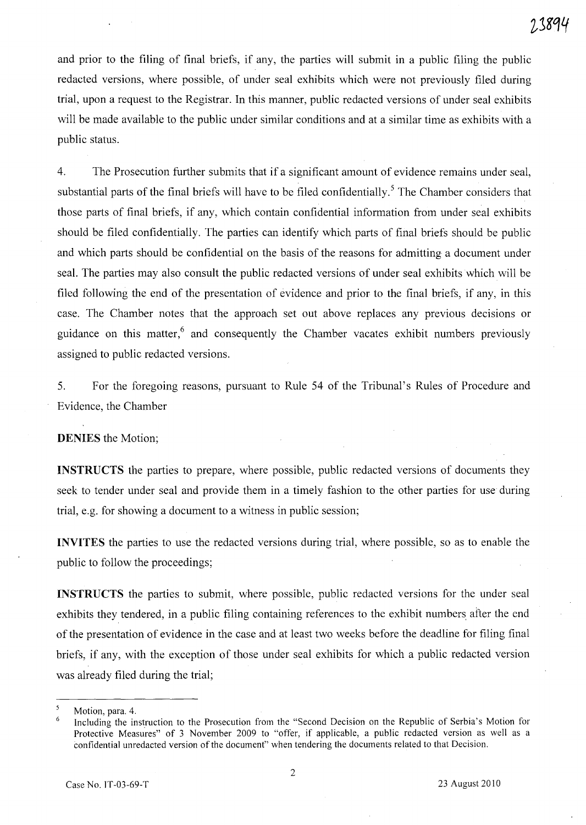and prior to the filing of final briefs, if any, the parties will submit in a public filing the public redacted versions, where possible, of under seal exhibits which were not previously filed during trial, upon a request to the Registrar. In this manner, public redacted versions of under seal exhibits will be made available to the public under similar conditions and at a similar time as exhibits with a public status.

4. The Prosecution further submits that if a significant amount of evidence remains under seal, substantial parts of the final briefs will have to be filed confidentially.<sup>5</sup> The Chamber considers that those parts of final briefs, if any, which contain confidential information from under seal exhibits should be filed confidentially. The parties can identify which parts of final briefs should be public and which parts should be confidential on the basis of the reasons for admitting a document under seal. The parties may also consult the public redacted versions of under seal exhibits which will be filed following the end of the presentation of evidence and prior to the final briefs, if any, in this case. The Chamber notes that the approach set out above replaces any previous decisions or guidance on this matter,<sup>6</sup> and consequently the Chamber vacates exhibit numbers previously assigned to public redacted versions.

5. For the foregoing reasons, pursuant to Rule 54 of the Tribunal's Rules of Procedure and Evidence, the Chamber

DENIES the Motion;

INSTRUCTS the parties to prepare, where possible, public redacted versions of documents they seek to tender under seal and provide them in a timely fashion to the other parties for use during trial, e.g. for showing a document to a witness in public session;

INVITES the parties to use the redacted versions during trial, where possible, so as to enable the public to follow the proceedings;

INSTRUCTS the parties to submit, where possible, public redacted versions for the under seal exhibits they tendered, in a public filing containing references to the exhibit numbers after the end of the presentation of evidence in the case and at least two weeks before the deadline for filing final briefs, if any, with the exception of those under seal exhibits for which a public redacted version was already filed during the trial;

Motion, para. 4.

Including the instruction to the Prosecution from the "Second Decision on the Republic of Serbia's Motion for Protective Measures" of 3 November 2009 to "offer, if applicable, a public redacted version as well as a confidential unredacted version of the document" when tendering the documents related to that Decision.